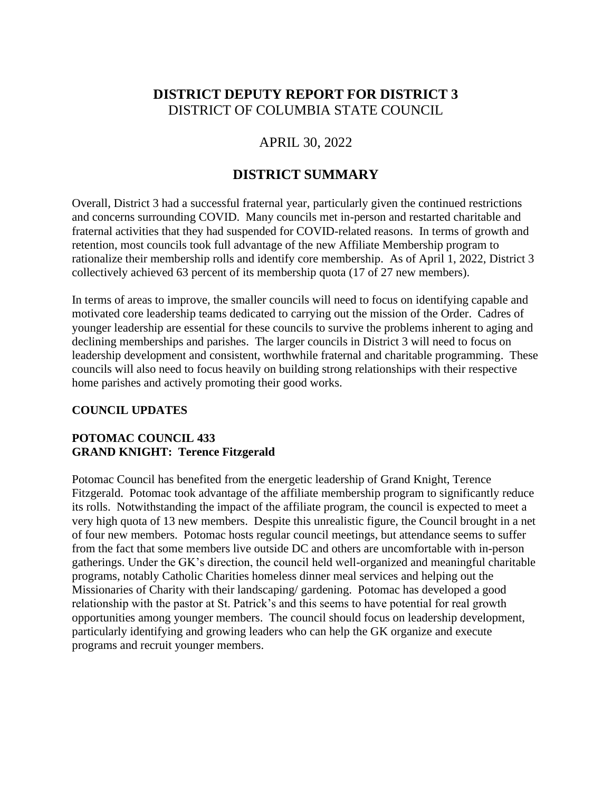# **DISTRICT DEPUTY REPORT FOR DISTRICT 3** DISTRICT OF COLUMBIA STATE COUNCIL

## APRIL 30, 2022

## **DISTRICT SUMMARY**

Overall, District 3 had a successful fraternal year, particularly given the continued restrictions and concerns surrounding COVID. Many councils met in-person and restarted charitable and fraternal activities that they had suspended for COVID-related reasons. In terms of growth and retention, most councils took full advantage of the new Affiliate Membership program to rationalize their membership rolls and identify core membership. As of April 1, 2022, District 3 collectively achieved 63 percent of its membership quota (17 of 27 new members).

In terms of areas to improve, the smaller councils will need to focus on identifying capable and motivated core leadership teams dedicated to carrying out the mission of the Order. Cadres of younger leadership are essential for these councils to survive the problems inherent to aging and declining memberships and parishes. The larger councils in District 3 will need to focus on leadership development and consistent, worthwhile fraternal and charitable programming. These councils will also need to focus heavily on building strong relationships with their respective home parishes and actively promoting their good works.

#### **COUNCIL UPDATES**

#### **POTOMAC COUNCIL 433 GRAND KNIGHT: Terence Fitzgerald**

Potomac Council has benefited from the energetic leadership of Grand Knight, Terence Fitzgerald. Potomac took advantage of the affiliate membership program to significantly reduce its rolls. Notwithstanding the impact of the affiliate program, the council is expected to meet a very high quota of 13 new members. Despite this unrealistic figure, the Council brought in a net of four new members. Potomac hosts regular council meetings, but attendance seems to suffer from the fact that some members live outside DC and others are uncomfortable with in-person gatherings. Under the GK's direction, the council held well-organized and meaningful charitable programs, notably Catholic Charities homeless dinner meal services and helping out the Missionaries of Charity with their landscaping/ gardening. Potomac has developed a good relationship with the pastor at St. Patrick's and this seems to have potential for real growth opportunities among younger members. The council should focus on leadership development, particularly identifying and growing leaders who can help the GK organize and execute programs and recruit younger members.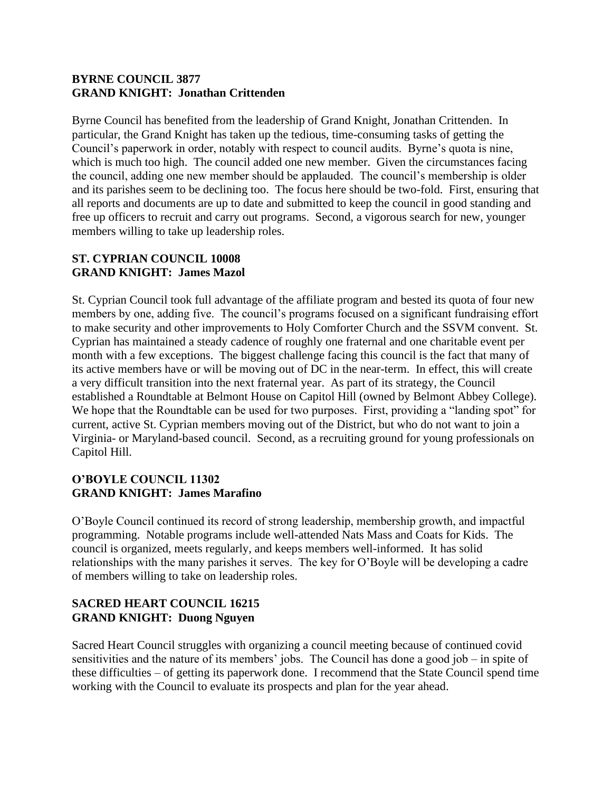#### **BYRNE COUNCIL 3877 GRAND KNIGHT: Jonathan Crittenden**

Byrne Council has benefited from the leadership of Grand Knight, Jonathan Crittenden. In particular, the Grand Knight has taken up the tedious, time-consuming tasks of getting the Council's paperwork in order, notably with respect to council audits. Byrne's quota is nine, which is much too high. The council added one new member. Given the circumstances facing the council, adding one new member should be applauded. The council's membership is older and its parishes seem to be declining too. The focus here should be two-fold. First, ensuring that all reports and documents are up to date and submitted to keep the council in good standing and free up officers to recruit and carry out programs. Second, a vigorous search for new, younger members willing to take up leadership roles.

#### **ST. CYPRIAN COUNCIL 10008 GRAND KNIGHT: James Mazol**

St. Cyprian Council took full advantage of the affiliate program and bested its quota of four new members by one, adding five. The council's programs focused on a significant fundraising effort to make security and other improvements to Holy Comforter Church and the SSVM convent. St. Cyprian has maintained a steady cadence of roughly one fraternal and one charitable event per month with a few exceptions. The biggest challenge facing this council is the fact that many of its active members have or will be moving out of DC in the near-term. In effect, this will create a very difficult transition into the next fraternal year. As part of its strategy, the Council established a Roundtable at Belmont House on Capitol Hill (owned by Belmont Abbey College). We hope that the Roundtable can be used for two purposes. First, providing a "landing spot" for current, active St. Cyprian members moving out of the District, but who do not want to join a Virginia- or Maryland-based council. Second, as a recruiting ground for young professionals on Capitol Hill.

#### **O'BOYLE COUNCIL 11302 GRAND KNIGHT: James Marafino**

O'Boyle Council continued its record of strong leadership, membership growth, and impactful programming. Notable programs include well-attended Nats Mass and Coats for Kids. The council is organized, meets regularly, and keeps members well-informed. It has solid relationships with the many parishes it serves. The key for O'Boyle will be developing a cadre of members willing to take on leadership roles.

### **SACRED HEART COUNCIL 16215 GRAND KNIGHT: Duong Nguyen**

Sacred Heart Council struggles with organizing a council meeting because of continued covid sensitivities and the nature of its members' jobs. The Council has done a good job – in spite of these difficulties – of getting its paperwork done. I recommend that the State Council spend time working with the Council to evaluate its prospects and plan for the year ahead.